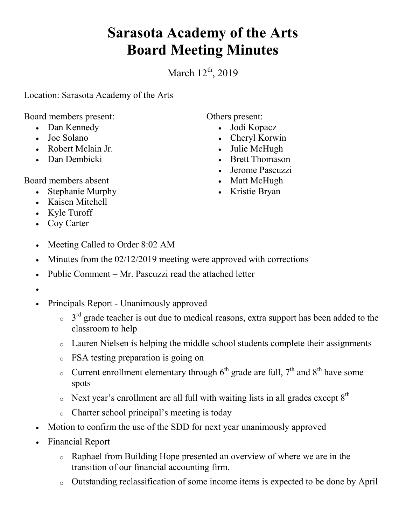## **Sarasota Academy of the Arts Board Meeting Minutes**

March  $12^{th}$ , 2019

Location: Sarasota Academy of the Arts

Board members present:

- Dan Kennedy
- Joe Solano
- Robert Mclain Jr.
- Dan Dembicki

Board members absent

- Stephanie Murphy
- Kaisen Mitchell
- Kyle Turoff
- Coy Carter
- Meeting Called to Order 8:02 AM
- Minutes from the 02/12/2019 meeting were approved with corrections
- Public Comment Mr. Pascuzzi read the attached letter
- $\bullet$
- Principals Report Unanimously approved
	- $\circ$  3<sup>rd</sup> grade teacher is out due to medical reasons, extra support has been added to the classroom to help
	- o Lauren Nielsen is helping the middle school students complete their assignments
	- o FSA testing preparation is going on
	- o Current enrollment elementary through  $6<sup>th</sup>$  grade are full,  $7<sup>th</sup>$  and  $8<sup>th</sup>$  have some spots
	- $\circ$  Next year's enrollment are all full with waiting lists in all grades except  $8<sup>th</sup>$
	- o Charter school principal's meeting is today
- Motion to confirm the use of the SDD for next year unanimously approved
- Financial Report
	- o Raphael from Building Hope presented an overview of where we are in the transition of our financial accounting firm.
	- o Outstanding reclassification of some income items is expected to be done by April

Others present:

- Jodi Kopacz
- Cheryl Korwin
- Julie McHugh
- Brett Thomason
- Jerome Pascuzzi
- Matt McHugh
- Kristie Bryan